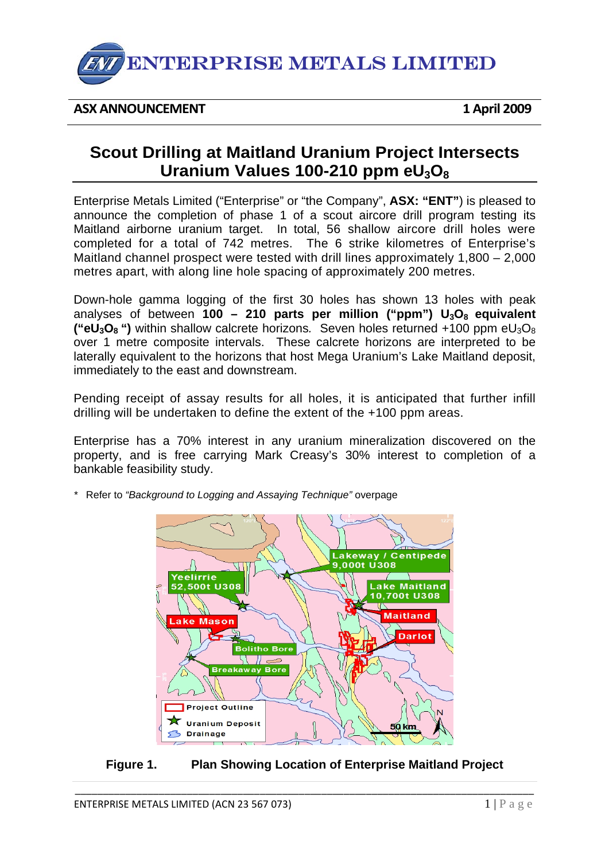

### **ASX ANNOUNCEMENT 1 April 2009**

# **Scout Drilling at Maitland Uranium Project Intersects Uranium Values 100-210 ppm eU3O8**

Enterprise Metals Limited ("Enterprise" or "the Company", **ASX: "ENT"**) is pleased to announce the completion of phase 1 of a scout aircore drill program testing its Maitland airborne uranium target. In total, 56 shallow aircore drill holes were completed for a total of 742 metres. The 6 strike kilometres of Enterprise's Maitland channel prospect were tested with drill lines approximately 1,800 – 2,000 metres apart, with along line hole spacing of approximately 200 metres.

Down-hole gamma logging of the first 30 holes has shown 13 holes with peak analyses of between **100 – 210 parts per million ("ppm") U<sub>3</sub>O<sub>8</sub> equivalent ("eU<sub>3</sub>O<sub>8</sub> ")** within shallow calcrete horizons. Seven holes returned +100 ppm eU<sub>3</sub>O<sub>8</sub> over 1 metre composite intervals. These calcrete horizons are interpreted to be laterally equivalent to the horizons that host Mega Uranium's Lake Maitland deposit, immediately to the east and downstream.

Pending receipt of assay results for all holes, it is anticipated that further infill drilling will be undertaken to define the extent of the +100 ppm areas.

Enterprise has a 70% interest in any uranium mineralization discovered on the property, and is free carrying Mark Creasy's 30% interest to completion of a bankable feasibility study.



*\** Refer to *"Background to Logging and Assaying Technique"* overpage

## **Figure 1. Plan Showing Location of Enterprise Maitland Project**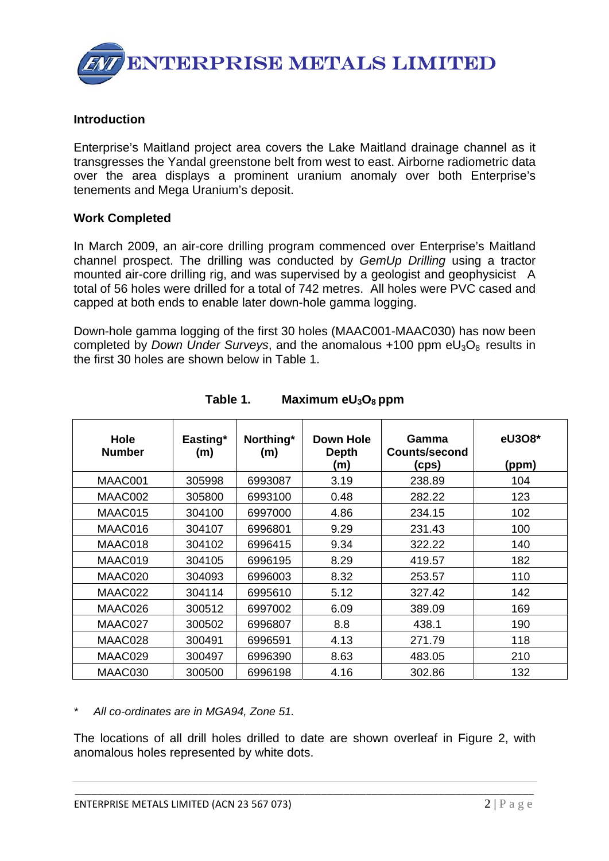

#### **Introduction**

Enterprise's Maitland project area covers the Lake Maitland drainage channel as it transgresses the Yandal greenstone belt from west to east. Airborne radiometric data over the area displays a prominent uranium anomaly over both Enterprise's tenements and Mega Uranium's deposit.

#### **Work Completed**

In March 2009, an air-core drilling program commenced over Enterprise's Maitland channel prospect. The drilling was conducted by *GemUp Drilling* using a tractor mounted air-core drilling rig, and was supervised by a geologist and geophysicist A total of 56 holes were drilled for a total of 742 metres. All holes were PVC cased and capped at both ends to enable later down-hole gamma logging.

Down-hole gamma logging of the first 30 holes (MAAC001-MAAC030) has now been completed by *Down Under Surveys*, and the anomalous  $+100$  ppm  $eU_3O_8$  results in the first 30 holes are shown below in Table 1.

| <b>Hole</b><br><b>Number</b> | Easting*<br>(m) | Northing*<br>(m) | Down Hole<br><b>Depth</b><br>(m) | Gamma<br><b>Counts/second</b><br>(cps) | eU308*<br>(ppm) |
|------------------------------|-----------------|------------------|----------------------------------|----------------------------------------|-----------------|
| MAAC001                      | 305998          | 6993087          | 3.19                             | 238.89                                 | 104             |
| MAAC002                      | 305800          | 6993100          | 0.48                             | 282.22                                 | 123             |
| MAAC015                      | 304100          | 6997000          | 4.86                             | 234.15                                 | 102             |
| MAAC016                      | 304107          | 6996801          | 9.29                             | 231.43                                 | 100             |
| MAAC018                      | 304102          | 6996415          | 9.34                             | 322.22                                 | 140             |
| MAAC019                      | 304105          | 6996195          | 8.29                             | 419.57                                 | 182             |
| MAAC020                      | 304093          | 6996003          | 8.32                             | 253.57                                 | 110             |
| MAAC022                      | 304114          | 6995610          | 5.12                             | 327.42                                 | 142             |
| MAAC026                      | 300512          | 6997002          | 6.09                             | 389.09                                 | 169             |
| MAAC027                      | 300502          | 6996807          | 8.8                              | 438.1                                  | 190             |
| MAAC028                      | 300491          | 6996591          | 4.13                             | 271.79                                 | 118             |
| MAAC029                      | 300497          | 6996390          | 8.63                             | 483.05                                 | 210             |
| MAAC030                      | 300500          | 6996198          | 4.16                             | 302.86                                 | 132             |

Table 1. Maximum eU<sub>3</sub>O<sub>8</sub> ppm

*\* All co-ordinates are in MGA94, Zone 51.* 

The locations of all drill holes drilled to date are shown overleaf in Figure 2, with anomalous holes represented by white dots.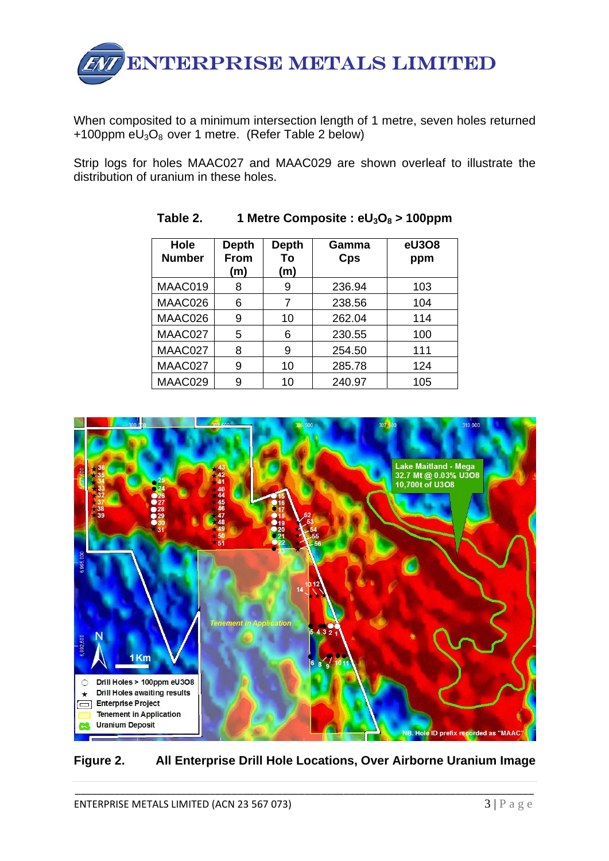

When composited to a minimum intersection length of 1 metre, seven holes returned +100ppm  $eU_3O_8$  over 1 metre. (Refer Table 2 below)

Strip logs for holes MAAC027 and MAAC029 are shown overleaf to illustrate the distribution of uranium in these holes.

| Hole<br><b>Number</b> | <b>Depth</b><br>From<br>(m) | <b>Depth</b><br>To<br>(m) | Gamma<br>Cps | eU308<br>ppm |
|-----------------------|-----------------------------|---------------------------|--------------|--------------|
| MAAC019               | 8                           | 9                         | 236.94       | 103          |
| MAAC026               | 6                           | 7                         | 238.56       | 104          |
| MAAC026               | 9                           | 10                        | 262.04       | 114          |
| MAAC027               | 5                           | 6                         | 230.55       | 100          |
| MAAC027               | 8                           | 9                         | 254.50       | 111          |
| MAAC027               | 9                           | 10                        | 285.78       | 124          |
| MAAC029               | 9                           | 10                        | 240.97       | 105          |

**Table 2. 1 Metre Composite : eU3O8 > 100ppm** 



**Figure 2. All Enterprise Drill Hole Locations, Over Airborne Uranium Image**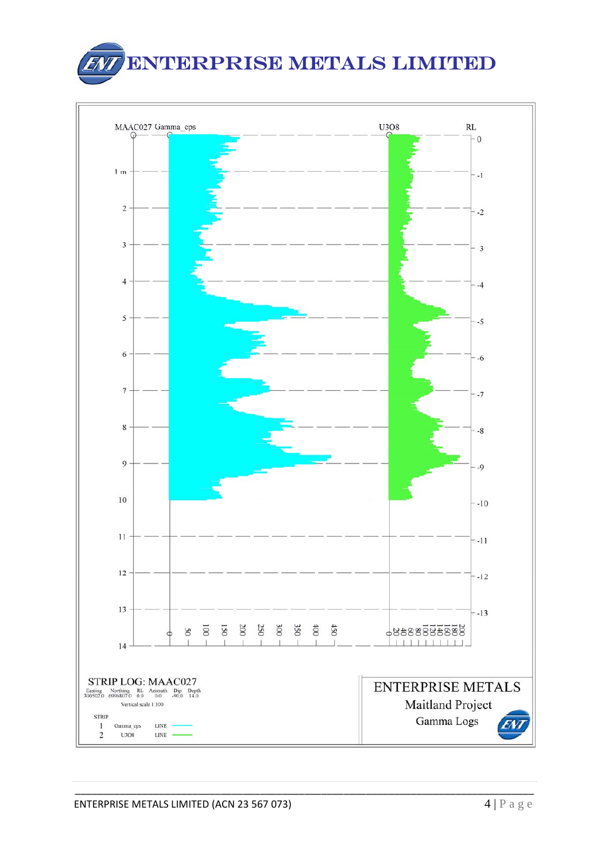

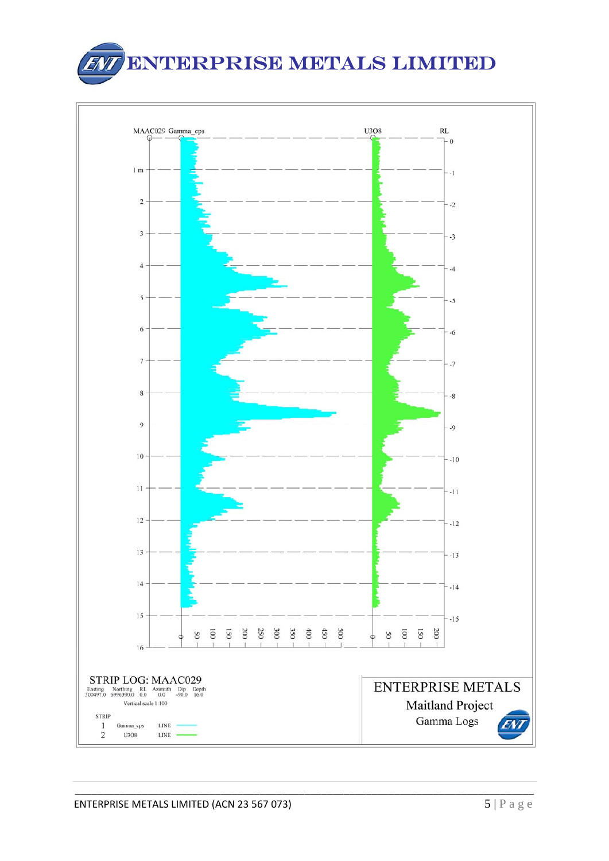

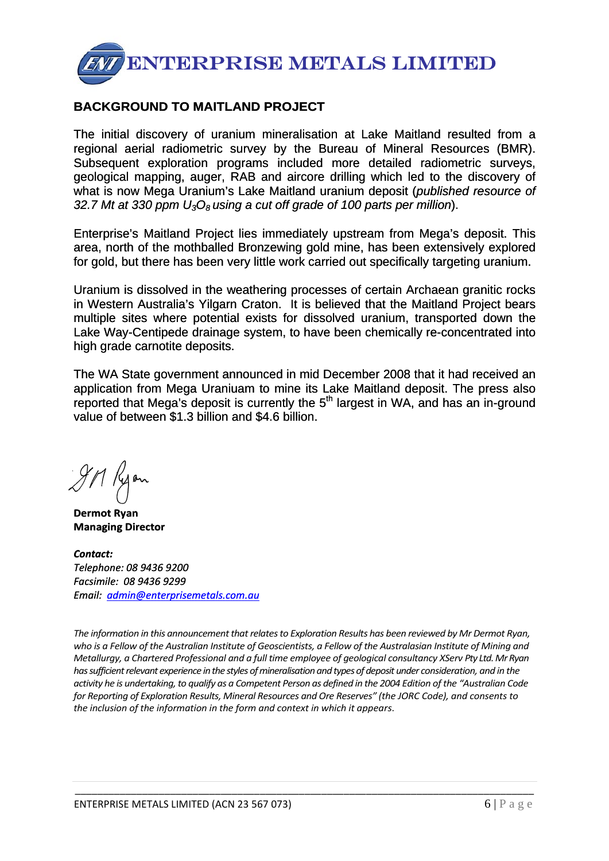

## **BACKGROUND TO MAITLAND PROJECT**

The initial discovery of uranium mineralisation at Lake Maitland resulted from a regional aerial radiometric survey by the Bureau of Mineral Resources (BMR). Subsequent exploration programs included more detailed radiometric surveys, geological mapping, auger, RAB and aircore drilling which led to the discovery of what is now Mega Uranium's Lake Maitland uranium deposit (*published resource of 32.7 Mt at 330 ppm U3O8 using a cut off grade of 100 parts per million*).

Enterprise's Maitland Project lies immediately upstream from Mega's deposit. This area, north of the mothballed Bronzewing gold mine, has been extensively explored for gold, but there has been very little work carried out specifically targeting uranium.

Uranium is dissolved in the weathering processes of certain Archaean granitic rocks in Western Australia's Yilgarn Craton. It is believed that the Maitland Project bears multiple sites where potential exists for dissolved uranium, transported down the Lake Way-Centipede drainage system, to have been chemically re-concentrated into high grade carnotite deposits.

The WA State government announced in mid December 2008 that it had received an application from Mega Uraniuam to mine its Lake Maitland deposit. The press also reported that Mega's deposit is currently the 5<sup>th</sup> largest in WA, and has an in-ground value of between \$1.3 billion and \$4.6 billion.

**Dermot Ryan Managing Director**

*Contact: Telephone: 08 9436 9200 Facsimile: 08 9436 9299 Email: [admin@enterprisemetals.com.au](mailto:admin@enterprisemetals.com.au)*

*The information in this announcementthat relatesto Exploration Results has been reviewed by Mr Dermot Ryan,* who is a Fellow of the Australian Institute of Geoscientists, a Fellow of the Australasian Institute of Mining and *Metallurgy, a Chartered Professional and a full time employee of geological consultancy XServ Pty Ltd.MrRyan hassufficientrelevant experience inthe stylesofmineralisationandtypesof deposit under consideration, and in the* activity he is undertaking, to qualify as a Competent Person as defined in the 2004 Edition of the "Australian Code *for Reporting of Exploration Results, Mineral Resources and Ore Reserves" (the JORC Code), and consents to the inclusion of the information in the form and context in which it appears*.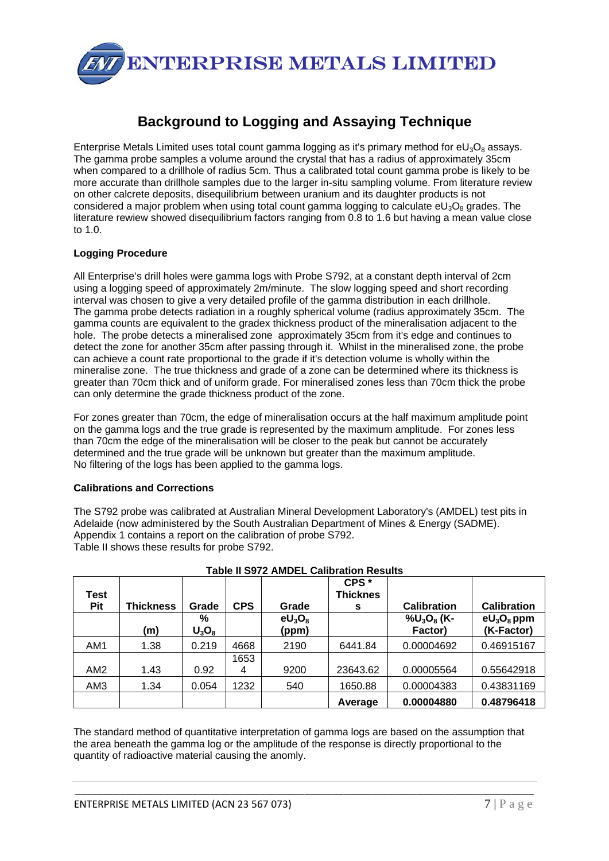

## **Background to Logging and Assaying Technique**

Enterprise Metals Limited uses total count gamma logging as it's primary method for  $eU_3O_8$  assays. The gamma probe samples a volume around the crystal that has a radius of approximately 35cm when compared to a drillhole of radius 5cm. Thus a calibrated total count gamma probe is likely to be more accurate than drillhole samples due to the larger in-situ sampling volume. From literature review on other calcrete deposits, disequilibrium between uranium and its daughter products is not considered a major problem when using total count gamma logging to calculate  $eU_3O_8$  grades. The literature rewiew showed disequilibrium factors ranging from 0.8 to 1.6 but having a mean value close to 1.0.

#### **Logging Procedure**

All Enterprise's drill holes were gamma logs with Probe S792, at a constant depth interval of 2cm using a logging speed of approximately 2m/minute. The slow logging speed and short recording interval was chosen to give a very detailed profile of the gamma distribution in each drillhole. The gamma probe detects radiation in a roughly spherical volume (radius approximately 35cm. The gamma counts are equivalent to the gradex thickness product of the mineralisation adjacent to the hole. The probe detects a mineralised zone approximately 35cm from it's edge and continues to detect the zone for another 35cm after passing through it. Whilst in the mineralised zone, the probe can achieve a count rate proportional to the grade if it's detection volume is wholly within the mineralise zone. The true thickness and grade of a zone can be determined where its thickness is greater than 70cm thick and of uniform grade. For mineralised zones less than 70cm thick the probe can only determine the grade thickness product of the zone.

For zones greater than 70cm, the edge of mineralisation occurs at the half maximum amplitude point on the gamma logs and the true grade is represented by the maximum amplitude. For zones less than 70cm the edge of the mineralisation will be closer to the peak but cannot be accurately determined and the true grade will be unknown but greater than the maximum amplitude. No filtering of the logs has been applied to the gamma logs.

#### **Calibrations and Corrections**

The S792 probe was calibrated at Australian Mineral Development Laboratory's (AMDEL) test pits in Adelaide (now administered by the South Australian Department of Mines & Energy (SADME). Appendix 1 contains a report on the calibration of probe S792. Table II shows these results for probe S792.

| Test<br>Pit     | <b>Thickness</b> | Grade         | <b>CPS</b> | Grade              | CPS <sup>*</sup><br><b>Thicknes</b><br>s | <b>Calibration</b>                                | <b>Calibration</b>          |
|-----------------|------------------|---------------|------------|--------------------|------------------------------------------|---------------------------------------------------|-----------------------------|
|                 | (m)              | %<br>$U_3O_8$ |            | $eU_3O_8$<br>(ppm) |                                          | $\%$ U <sub>3</sub> O <sub>8</sub> (K-<br>Factor) | $eU_3O_8$ ppm<br>(K-Factor) |
| AM1             | 1.38             | 0.219         | 4668       | 2190               | 6441.84                                  | 0.00004692                                        | 0.46915167                  |
| AM <sub>2</sub> | 1.43             | 0.92          | 1653<br>4  | 9200               | 23643.62                                 | 0.00005564                                        | 0.55642918                  |
| AM3             | 1.34             | 0.054         | 1232       | 540                | 1650.88                                  | 0.00004383                                        | 0.43831169                  |
|                 |                  |               |            |                    | Average                                  | 0.00004880                                        | 0.48796418                  |

#### **Table II S972 AMDEL Calibration Results**

The standard method of quantitative interpretation of gamma logs are based on the assumption that the area beneath the gamma log or the amplitude of the response is directly proportional to the quantity of radioactive material causing the anomly.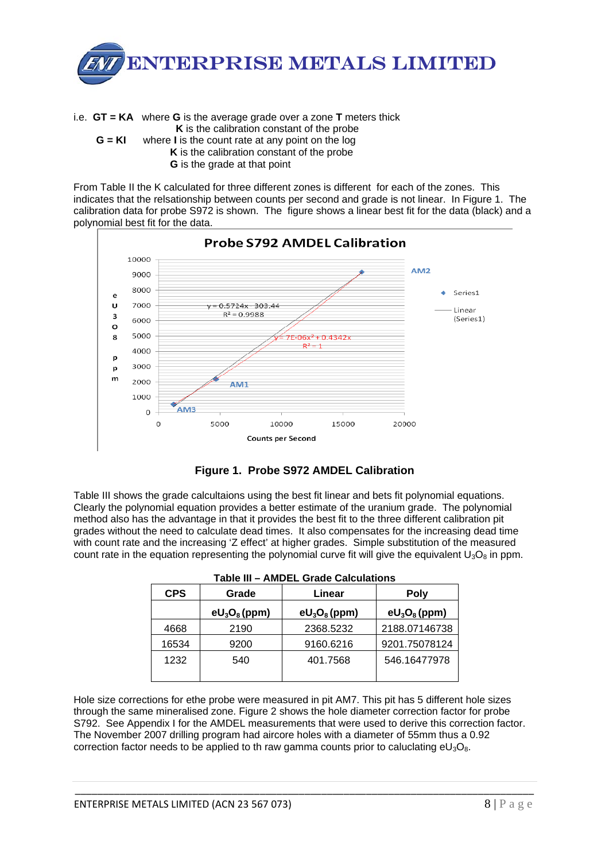

i.e. **GT = KA** where **G** is the average grade over a zone **T** meters thick **K** is the calibration constant of the probe **G = KI** where **I** is the count rate at any point on the log **K** is the calibration constant of the probe **G** is the grade at that point

From Table II the K calculated for three different zones is different for each of the zones. This indicates that the relsationship between counts per second and grade is not linear. In Figure 1. The calibration data for probe S972 is shown. The figure shows a linear best fit for the data (black) and a polynomial best fit for the data.





Table III shows the grade calcultaions using the best fit linear and bets fit polynomial equations. Clearly the polynomial equation provides a better estimate of the uranium grade. The polynomial method also has the advantage in that it provides the best fit to the three different calibration pit grades without the need to calculate dead times. It also compensates for the increasing dead time with count rate and the increasing 'Z effect' at higher grades. Simple substitution of the measured count rate in the equation representing the polynomial curve fit will give the equivalent  $U_3O_8$  in ppm.

| <b>CPS</b> | Grade           | Linear          | <b>Poly</b>     |  |
|------------|-----------------|-----------------|-----------------|--|
|            | $eU_3O_8$ (ppm) | $eU_3O_8$ (ppm) | $eU_3O_8$ (ppm) |  |
| 4668       | 2190            | 2368.5232       | 2188.07146738   |  |
| 16534      | 9200            | 9160.6216       | 9201.75078124   |  |
| 1232       | 540             | 401.7568        | 546.16477978    |  |

| Table III - AMDEL Grade Calculations |  |
|--------------------------------------|--|
|--------------------------------------|--|

Hole size corrections for ethe probe were measured in pit AM7. This pit has 5 different hole sizes through the same mineralised zone. Figure 2 shows the hole diameter correction factor for probe S792. See Appendix I for the AMDEL measurements that were used to derive this correction factor. The November 2007 drilling program had aircore holes with a diameter of 55mm thus a 0.92 correction factor needs to be applied to th raw gamma counts prior to caluclating  $eU_3O_8$ .